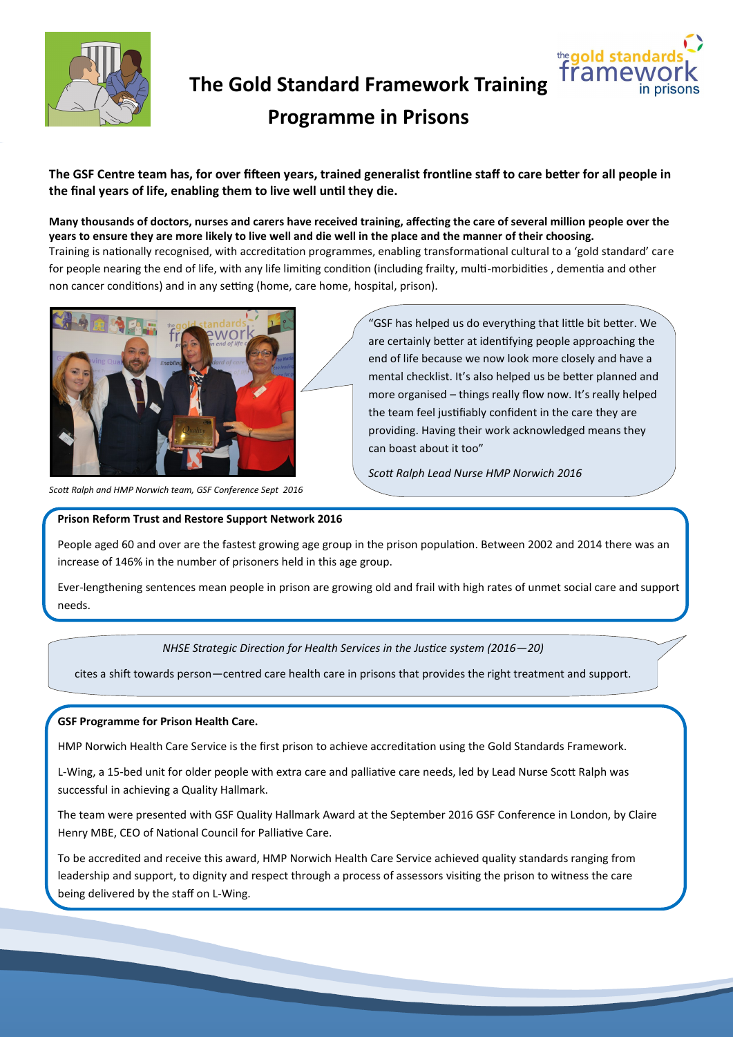



# **Programme in Prisons**

**The GSF Centre team has, for over fifteen years, trained generalist frontline staff to care better for all people in the final years of life, enabling them to live well until they die.** 

**Many thousands of doctors, nurses and carers have received training, affecting the care of several million people over the years to ensure they are more likely to live well and die well in the place and the manner of their choosing.** 

Training is nationally recognised, with accreditation programmes, enabling transformational cultural to a 'gold standard' care for people nearing the end of life, with any life limiting condition (including frailty, multi-morbidities , dementia and other non cancer conditions) and in any setting (home, care home, hospital, prison).



*Scott Ralph and HMP Norwich team, GSF Conference Sept 2016*

**Prison Reform Trust and Restore Support Network 2016**

"GSF has helped us do everything that little bit better. We are certainly better at identifying people approaching the end of life because we now look more closely and have a mental checklist. It's also helped us be better planned and more organised – things really flow now. It's really helped the team feel justifiably confident in the care they are providing. Having their work acknowledged means they can boast about it too"

*Scott Ralph Lead Nurse HMP Norwich 2016*

People aged 60 and over are the fastest growing age group in the prison population. Between 2002 and 2014 there was an increase of 146% in the number of prisoners held in this age group.

Ever-lengthening sentences mean people in prison are growing old and frail with high rates of unmet social care and support needs.

## *NHSE Strategic Direction for Health Services in the Justice system (2016—20)*

cites a shift towards person—centred care health care in prisons that provides the right treatment and support.

## **GSF Programme for Prison Health Care.**

HMP Norwich Health Care Service is the first prison to achieve accreditation using the Gold Standards Framework.

L-Wing, a 15-bed unit for older people with extra care and palliative care needs, led by Lead Nurse Scott Ralph was successful in achieving a Quality Hallmark.

The team were presented with GSF Quality Hallmark Award at the September 2016 GSF Conference in London, by Claire Henry MBE, CEO of National Council for Palliative Care.

To be accredited and receive this award, HMP Norwich Health Care Service achieved quality standards ranging from leadership and support, to dignity and respect through a process of assessors visiting the prison to witness the care being delivered by the staff on L-Wing.